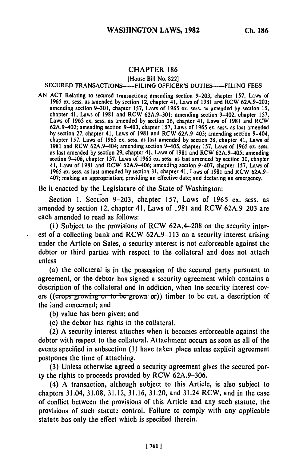## **CHAPTER 186**

[House Bill No. 822]

## SECURED TRANSACTIONS-----FILING OFFICER'S DUTIES------FILING FEES

AN **ACT** Relating to secured transactions; amending section **9-203,** chapter 157, Laws of 1965 ex. sess. as amended by section 12, chapter 41, Laws of 1981 and RCW 62A.9-203; amending section **9-301,** chapter **157,** Laws of 1965 **ex,** sess. as amended by section **15,** chapter 41, Laws of **1981** and RCW 62A.9-301; amending section 9-402, chapter 157, Laws of 1965 ex. sess. as amended by section **26,** chapter 41, Laws of 1981 and RCW 62A.9-402; amending section 9-403, chapter 157, Laws of 1965 ex. sess. as last amended by section **27,** chapter 41, Laws of 1981 and RCW 62A.9-403; amending section 9-404, chapter 157, Laws of 1965 **ex.** sess. as last amended by section **28,** chapter 41, Laws of 1981 and RCW 62A.9-404; amending section 9-405, chapter 157, Laws of 1965 **ex.** sess. as last amended by section **29,** chapter 41, Laws of 1981 and RCW 62A.9-405; amending section 9-406, chapter 157, Laws of 1965 ex. sess. as last amended by section **30,** chapter 41, Laws of 1981 and RCW 62A.9-406; amending section 9-407, chapter 157, Laws of 1965 ex. sess. as last amended **by** section **31,** chapter **41,** Laws of 1981 and RCW **62A.9-** 407; making an appropriation; providing an effective date; and declaring an emergency.

Be it enacted **by** the Legislature of the State of Washington:

Section 1. Section 9-203, chapter 157, Laws of 1965 ex. sess. as amended by section 12, chapter 41, Laws of 1981 and RCW 62A.9-203 are each amended to read as follows:

**(1)** Subject to the provisions of RCW 62A.4-208 on the security interest of a collecting bank and RCW 62A.9-113 on a security interest arising under the Article on Sales, a security interest is not enforceable against the debtor or third parties with respect to the collateral and does not attach unless

(a) the collateral is in the possession of the secured party pursuant to agreement, or the debtor has signed a security agreement which contains a description of the collateral and in addition, when tne security interest covers ((crops growing or to be grown or)) timber to be cut, a description of the land concerned; and

(b) value has been given; and

(c) the debtor has rights in the collateral.

(2) A security interest attaches when it becomes enforceable against the debtor with respect to the collateral. Attachment occurs as soon as all of the events specified in subsection **(1)** have taken place unless explicit agreement postpones the time of attaching.

**(3)** Unless otherwise agreed a security agreement gives the secured party the rights to proceeds provided **by** RCW 62A.9-306.

(4) A transaction, although subject to this Article, is also subject to chapters 31.04, **31.08, 31.12, 31.16, 31.20,** and 31.24 RCW, and in the case of conflict between the provisions of this Article and any such statute, the provisions of such statute control. Failure to comply with any applicable statute has only the effect which is specified therein.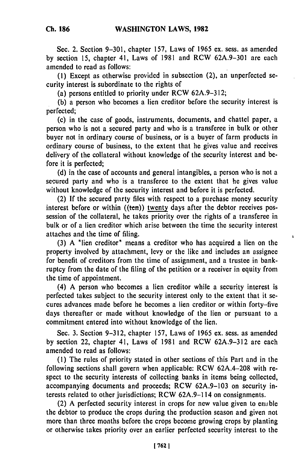Sec. 2. Section 9-301, chapter 157, Laws of 1965 ex. sess. as amended by section 15, chapter 41, Laws of 1981 and RCW 62A.9-301 are each amended to read as follows:

(1) Except as otherwise provided in subsection (2), an unperfected security interest is subordinate to the rights of

(a) persons entitled to priority under RCW 62A.9-312;

(b) a person who becomes a lien creditor before the security interest is perfected;

(c) in the case of goods, instruments, documents, and chattel paper, a person who is not a secured party and who is a transferee in bulk or other buyer not in ordinary course of business, or is a buyer of farm products in ordinary course of business, to the extent that he gives value and receives delivery of the collateral without knowledge of the security interest and before it is perfected;

(d) in the case of accounts and general intangibles, a person who is not a secured party and who is a transferee to the extent that he gives value without knowledge of the security interest and before it is perfected.

(2) If the secured party files with respect to a purchase money security interest before or within  $((ten))$  twenty days after the debtor receives possession of the collateral, he takes priority over the rights of a transferee in bulk or of a lien creditor which arise between the time the security interest attaches and the time of filing.

 $\mathbf{r}$ 

(3) A "lien creditor" means a creditor who has acquired a lien on the property involved by attachment, levy or the like and includes an assignee for benefit of creditors from the time of assignment, and a trustee in bankruptcy from the date of the filing of the petition or a receiver in equity from the time of appointment.

(4) A person who becomes a lien creditor while a security interest is perfected takes subject to the security interest only to the extent that it secures advances made before he becomes a lien creditor or within forty-five days thereafter or made without knowledge of the lien or pursuant to a commitment entered into without knowledge of the lien.

Sec. 3. Section 9-312, chapter 157, Laws of 1965 ex. sess. as amended by section 22, chapter 41, Laws of 1981 and RCW 62A.9-312 are each amended to read as follows:

**(1)** The rules of priority stated in other sections of this Part and in the following sections shall govern when applicable: RCW 62A.4-208 with respect to the security interests of collecting banks in items being collected, accompanying documents and proceeds; RCW 62A.9-103 on security interests related to other jurisdictions; RCW 62A.9-114 on consignments.

(2) A perfected security interest in crops for new value given to enable the debtor to produce the crops during the production season and given not more than three months before the crops become growing crops by planting or otherwise takes priority over an earlier perfected security interest to the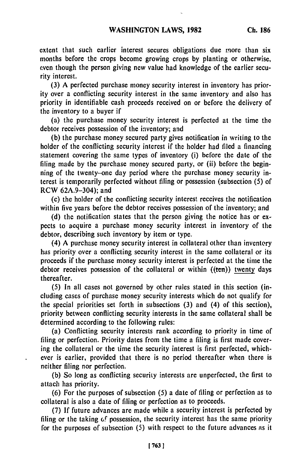extent that such earlier interest secures obligations due more than six months before the crops become growing crops **by** planting or otherwise, even though the person giving new value had knowledge of the earlier security interest.

**(3)** A perfected purchase money security interest in inventory has priority over a conflicting security interest in the same inventory and also has priority in identifiable cash proceeds received on or before the delivery of the inventory to a buyer if

(a) the purchase money security interest is perfected at the time the debtor receives possession of the inventory; and

**(b)** the purchase money secured party gives notification in writing to the holder of the conflicting security interest if the holder had **filed** a financing statement covering the same types of inventory (i) before the date of the filing made **by** the purchase money secured party, or (ii) before the beginning of the twenty-one day period where the purchase money security interest is temporarily perfected without filing or possession (subsection **(5)** of RCW 62A.9-304); and

(c) the holder of the conflicting security interest receives the notification within five years before the debtor receives possession of the inventory; and

(d) the notification states that the person giving the notice has or expects to acquire a purchase money security interest in inventory of the debtor, describing such inventory **by** item or type.

(4) A purchase money security interest in collateral other than inventory has priority over a conflicting security interest in the same collateral or its proceeds if the purchase money security interest is perfected at the time the debtor receives possession of the collateral or within  $((ten))$  twenty days thereafter.

**(5)** In all cases not governed **by** other rules stated in this section (including cases of purchase money security interests which do not qualify for the special priorities set forth in subsections **(3)** and (4) of this section), priority between conflicting security interests in the same collateral shall be determined according to the following rules:

(a) Conflicting security interests rank according to priority in time of filing or perfection. Priority dates from the time a filing is first made covering the collateral or the time the security interest is first perfected, whichever is earlier, provided that there is no period thereafter when there is neither filing nor perfection.

**(b)** So long as conflicting security interests are unperfected, the first to attach has priority.

**(6)** For the purposes of subsection **(5)** a date of filing or perfection as to collateral is also a date of filing or perfection as to proceeds.

(7) If future advances are made while a security interest is perfected **by** filing or the taking *cf* possession, the security interest has the same priority for the purposes of subsection **(5)** with respect to the future advances as it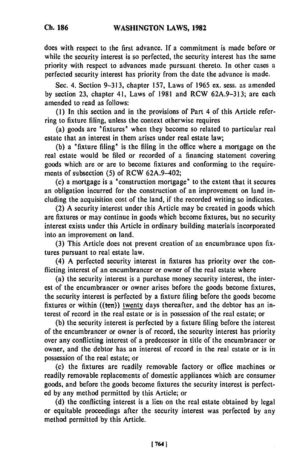does with respect to the first advance. **If** a commitment is made before or while the security interest is so perfected, the security interest has the same priority with respect to advances made pursuant thereto. In other cases a perfected security interest has priority from the date the advance is made.

Sec. 4. Section 9-313, chapter 157, Laws of 1965 ex. sess. as amended by section 23, chapter 41, Laws of 1981 and RCW 62A.9-313; are each amended to read as follows:

(1) In this section and in the provisions of Part 4 of this Article referring to fixture filing, unless the context otherwise requires

(a) goods are "fixtures" when they become so related to particular real estate that an interest in them arises under real estate law;

**(b)** a "fixture filing" is the filing in the office where a mortgage on the real estate would be filed or recorded of a financing statement covering goods which are or are to become fixtures and conforming to the requirements of subsection (5) of RCW 62A.9-402;

(c) a mortgage is a "construction mortgage" to the extent that it secures an obligation incurred for the construction of an improvement on land including the acquisition cost of the land, if the recorded writing so indicates.

(2) A security interest under this Article may be created in goods which are fixtures or may continue in goods which become fixtures, but no security interest exists under this Article in ordinary building materials incorporated into an improvement on land.

(3) This Article does not prevent creation of an encumbrance upon fixtures pursuant to real estate law.

(4) A perfected security interest in fixtures has priority over the conflicting interest of an encumbrancer or owner of the real estate where

(a) the security interest is a purchase money security interest, the interest of the encumbrancer or owner arises before the goods become fixtures, the security interest is perfected by a fixture filing before the goods become fixtures or within  $((ten))$  twenty days thereafter, and the debtor has an interest of record in the real estate or is in possession of the real estate; or

(b) the security interest is perfected by a fixture filing before the interest of the encumbrancer or owner is of record, the security interest has priority over any conflicting interest of a predecessor in title of the encumbrancer or owner, and the debtor has an interest of record in the real estate or is in possession of the real estate; or

(c) the fixtures are readily removable factory or office machines or readily removable replacements of domestic appliances which are consumer goods, and before the goods become fixtures the security interest is perfected by any method permitted by this Article; or

(d) the conflicting interest is a lien on the real estate obtained by legal or equitable proceedings after the security interest was perfected by any method permitted **by** this Article.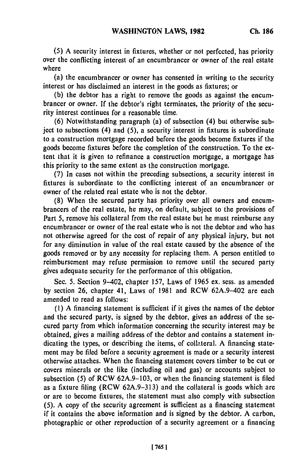**(5) A** security interest in fixtures, whether or not perfected, has priority over the conflicting interest of an encumbrancer or owner of the real estate where

(a) the encumbrancer or owner has consented in writing to the security interest or has disclaimed an interest in the goods as fixtures; or

(b) the debtor has a right to remove the goods as against the encumbrancer or owner. If the debtor's right terminates, the priority of the security interest continues for a reasonable time.

(6) Notwithstanding paragraph (a) of subsection (4) but otherwise subject to subsections (4) and (5), a security interest in fixtures is subordinate to a construction mortgage recorded before the goods become fixtures if the goods become fixtures before the completion of the construction. To the extent that it is given to refinance a construction mortgage, a mortgage has this priority to the same extent as the construction mortgage.

**(7)** In cases not within the preceding subsections, a security interest in fixtures is subordinate to the conflicting interest of an encumbrancer or owner of the related real estate who is not the debtor.

(8) When the secured party has priority over all owners and encumbrancers of the real estate, he may, on default, subject to the provisions of Part **5,** remove his collateral from the real estate but he must reimburse any encumbrancer or owner of the real estate who is not the debtor and who has not otherwise agreed for the cost of repair of any physical injury, but not for any diminution in value of the real estate caused **by** the absence of the goods removed or **by** any necessity for replacing them. A person entitled to reimbursement may refuse permission to remove until the secured party gives adequate security for the performance of this obligation.

Sec. 5. Section 9-402, chapter 157, Laws of 1965 ex. sess. as amended by section **26,** chapter 41, Laws of 1981 and RCW 62A.9-402 are each amended to read as follows:

**(1)** A financing statement is sufficient if it gives the names of the debtor and the secured party, is signed **by** the debtor, gives an address of the secured party from which information concerning the security interest may be obtained, gives a mailing address of the debtor and contains a statement indicating the types, or describing the items, of collateral. A financing statement may be filed before a security agreement is made or a security interest otherwise attaches. When the financing statement covers timber to be cut or covers minerals or the like (including oil and gas) or accounts subject to subsection (5) of RCW 62A.9-103, or when the financing statement is filed as a fixture filing (RCW 62A.9-313) and the collateral is goods which are or are to become fixtures, the statement must also comply with subsection (5). A copy of the security agreement is sufficient as a financing statement if it contains the above information and is signed **by** the debtor. A carbon, photographic or other reproduction of a security agreement or a financing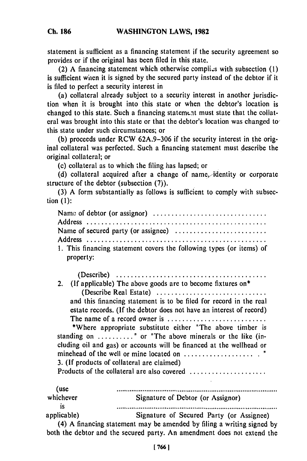statement is sufficient as a financing statement if the security agreement so provides or if the original has been filed in this state.

(2) A financing statement which otherwise complizs with subsection **(1)** is sufficient wiien it is signed **by** the secured party instead of the debtor if it is filed to perfect a security interest in

(a) collateral already subject to a security interest in another jurisdiction when it is brought into this state or when the debtor's location is changed to this state. Such a financing statement must state that the collateral was brought into this state or that the debtor's location was changed tothis state under such circumstances; or

(b) proceeds under RCW 62A.9-306 if the security interest in the original collateral was perfected. Such a financing statement must describe the original collateral; or

(c) collateral as to which the filing has lapsed; or

(d) collateral acquired after a change of name, identity or corporate structure of the debtor (subsection (7)).

(3) A form substantially as follows is sufficient to comply with subsection (1):

| 1. This financing statement covers the following types (or items) of |  |  |
|----------------------------------------------------------------------|--|--|

property:

(D escribe) ............ ............................ 2. (If applicable) The above goods are to become fixtures on $*$ 

(Describe Real Estate) .............................. and this financing statement is to be filed for record in the real estate records. (If the debtor does not have an interest of record) The name of a record owner is  $\dots\dots\dots\dots\dots\dots\dots\dots\dots\dots$ 

\*Where appropriate substitute either "The above timber is standing on .........." or "The above minerals or the like (including oil and gas) or accounts will be financed at the wellhead or minehead of the well or mine located on ................... **. .** 3. (If products of collateral are claimed)  $P$ , (i) products of conateral are claimed.

| (use<br>whichever<br>is | Signature of Debtor (or Assignor)                                      |  |
|-------------------------|------------------------------------------------------------------------|--|
| applicable)             | Signature of Secured Party (or Assignee)                               |  |
|                         | (4) A financing statement may be amended by filing a writing signed by |  |

both the debtor and the secured party. An amendment does not extend the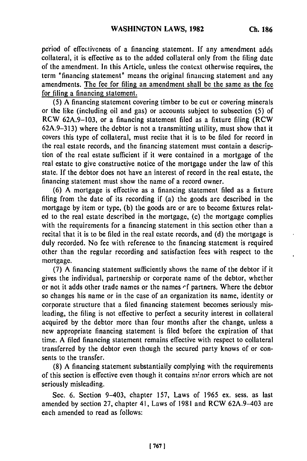period of effetiveness of a financing statement. **If** any amendment adds collateral, it is effective as to the added collateral only from the filing date of the amendment. In this Article, unless the context otherwise requires, the term "financing statement" means the original financing statement and any amendments. The fee for filing an amendment shall be the same as the fee for filing a financing statement.

(5) A financing statement covering timber to be cut or covering minerals or the like (including oil and gas) or accounts subject to subsection (5) of RCW 62A.9-103, or a financing statement filed as a fixture filing (RCW 62A.9-313) where the debtor is not a transmitting utility, must show that it covers this type of collateral, must recite that it is to be filed for record in the real estate records, and the financing statement must contain a description of the real estate sufficient if it were contained in a mortgage of the real estate to give constructive notice of the mortgage under the law of this state. If the debtor does not have an interest of record in the real estate, the financing statement must show the name of a record owner.

(6) A mortgage is effective as a financing statement filed as a fixture filing from the date of its recording if (a) the goods are described in the mortgage by item or type, (b) the goods are or are to become fixtures related to the real estate described in the mortgage, (c) the mortgage complies with the requirements for a financing statement in this section other than a recital that it is to be filed in the real estate records, and (d) the mortgage is duly recorded. No fee with reference to the financing statement is required other than the regular recording and satisfaction fees with respect to the mortgage.

(7) A financing statement sufficiently shows the name of the debtor if it gives the individual, partnership or corporate name of the debtor, whether or not it adds other trade names or the names *'f* partners. Where the debtor so changes his name or in the case of an organization its name, identity or corporate structure that a filed financing statement becomes seriously misleading, the filing is not effective to perfect a security interest in collateral acquired by the debtor more than four months after the change, unless a new appropriate financing statement is filed before the expiration of that time. A filed financing statement remains effective with respect to collateral transferred by the debtor even though the secured party knows of or consents to the transfer.

(8) A financing statement substantially complying with the requirements of this section is effective even though it contains minor errors which are not seriously misleading.

Sec. 6. Section 9-403, chapter 157, Laws of 1965 ex. sess. as last amended by section 27, chapter 41, Laws of 1981 and RCW 62A.9-403 are each amended to read as follows: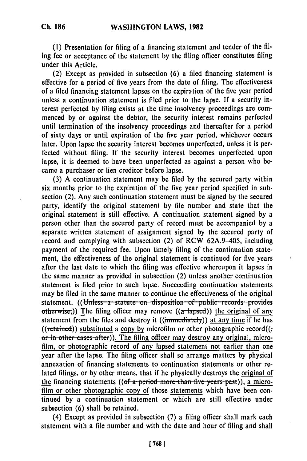**(1)** Presentation for filing of a financing statement and tender of the filing fee or acceptance of the statement **by** the filing officer constitutes filing under this Article.

(2) Except as provided in subsection (6) a filed financing statement is effective for a period of five years from the date of filing. The effectiveness of a filed financir.g statement lapses on the expiration of the five year period unless a continuation statement is filed prior to the lapse. If a security interest perfected **by** filing exists at the time insolvency proceedings are commenced **by** or against the debtor, the security interest remains perfected until termination of the insolvency proceedings and thereafter for a period of sixty days or until expiration of the five year period, whichever occurs later. Upon lapse the security interest becomes unperfected, unless it is perfected without filing. If the security interest becomes unperfected upon lapse, it is deemed to have been unperfected as against a person who became a purchaser or lien creditor before lapse.

(3) A continuation statement may be filed **by** the secured party within six months prior to the expiration of the five year period specified in subsection (2). Any such continuation statement must be signed **by** the secured party, identify the original statement **by** file number and state that the original statement is still effective. A continuation statement signed **by** a person other than the secured party of record must be accompanied **by** a separate written statement of assignment signed **by** the secured party of record and complying with subsection (2) of RCW 62A.9-405, including payment of the required fee. Upon timely filing of the continuation statement, the effectiveness of the original statement is continued for five years after the last date to which the filing was effective whereupon it lapses in the same manner as provided in subsection (2) unless another continuation statement is filed prior to such lapse. Succeeding continuation statements may be filed in the same manner to continue the effectiveness of the original statement. ((Unless a statute on disposition of public records provides otherwise,)) The filing officer may remove  $((a$ -lapsed)) the original of any statement from the files and destroy it  $((\text{immediately}))$  at any time if he has ((retaincd)) substituted a copy **by** microfilm or other photographic record((;  $\frac{1}{2}$  **h are the cases after)**). The filing officer may destroy any original, microfilm, or photographic record of any lapsed statement not earlier than one year after the lapse. The filing officer shall so arrange matters **by** physical annexation of financing statements to continuation statements or other related filings, or **by** other means, that if he physically destroys the original **of** the financing statements ((of a period more than five years past)), a microfilm or other photographic copy of those statements which have been continued **by** a continuation statement or which are still effective under subsection (6) shall be retained.

(4) Except as provided in subsection (7) a filing officer shall mark each statement with a file number and with the date and hour of filing and shall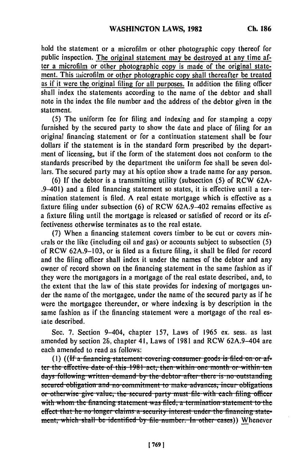hold the statement or a microfilm or other photographic copy thereof for public inspection. The original statement may be destroyed at any time after a microfilm or other photographic copy is made of the original statement. This microfilm or other photographic copy shall thereafter be treated as if it were the original filing for all purposes. In addition the filing officer shall index the statements according to the name of the debtor and shall note in the index the file number and the address of the debtor given in the statement.

(5) The uniform fee for filing and indexing and for stamping a copy furnished by the secured party to show the date and place of filing for an original financing statement or for a continuation statement shall be four dollars if the statement is in the standard form prescribed by the department of licensing, but if the form of the statement does not conform to the standards prescribed by the department the uniform fee shall be seven dollars. The secured party may at his option show a trade name for any person.

(6) If the debtor is a transmitting utility (subsection (5) of RCW 62A- .9-401) and a filed financing statement so states, it is effective until a termination statement is filed. A real estate mortgage which is effective as a fixture filing under subsection (6) of RCW 62A.9-402 remains effective as a fixture filing until the mortgage is released or satisfied of record or its effectiveness otherwise terminates as to the real estate.

(7) When a financing statement covers timber to be cut or covers minerals or the like (including oil and gas) or accounts subject to subsection (5) of RCW 62A.9-103, or is filed as a fixture filing, it shall be filed for record and the filing officer shall index it under the names of the debtor and any owner of record shown on the financing statement in the same fashion as if they were the mortgagors in a mortgage of the real estate described, and, to the extent that the law of this state provides for indexing of mortgages under the name of the mortgagee, under the name of the secured party as if he were the mortgagee thereunder, or where indexing is by description in the same fashion as if the financing statement were a mortgage of the real eslate described.

Sec. 7. Section 9-404, chapter 157, Laws of 1965 ex. sess. as last amended by section 28, chapter 41, Laws of 1981 and RCW 62A.9-404 are each amended to read as follows:

ach amended to read as follows.<br>(1) ((<del>If a financing statement covering consumer goods is filed on or af-</del> ter the effective date of this 1981 act, then within one month or within-ten<br>days following written-demand by the debtor after there is no outstanding secured obligation and no commitment to make advances, incur obligations or otherwise give value, the secured party must file with each filing officer with whom the financing statement was filed, a termination statement to the effect that he no longer claims a security interest under the financing statement, which shall be identified by file number. In other cases)) Whenever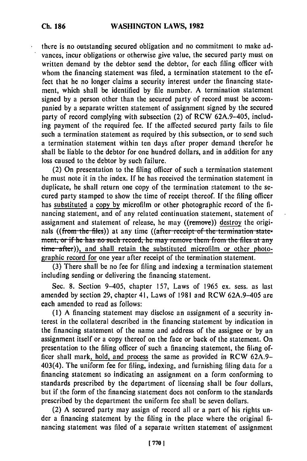there is no outstanding secured obligation and no commitment to make advances, incur obligations or otherwise give value, the secured party must on written demand **by** the debtor send the debtor, for each filing officer with whom the financing statement was filed, a termination statement to the **ef**fect that he no longer claims a security interest under the financing statement, which shall be identified **by** file number. A termination statement signed **by** a person other than the secured party of record must be accompanied **by** a separate written statement of assignment signed **by** the secured party of record complying with subsection (2) of RCW 62A.9-405, including payment of the required fee. If the affected secured party fails to file such a termination statement as required **by** this subsection, or to send such a termination statement within ten days after proper demand therefor he shall be liable to the debtor for one hundred dollars, and in addition for any loss caused to the debtor **by** such failure.

(2) On presentation to the filing officer of such a termination statement he must note it in the index. **If** he has received the termination statement in duplicate, he shall return one copy of the termination statement to the secured party stamped to show the time of receipt thereof. If the filing officer has substituted a copy **by** microfilm or other photographic record of the financing statement, and of any related continuation statement, statement of assignment and statement of release, he may ((remove)) destroy the originals ((from the files)) at any time ((after receipt of the termination statement, or if he has no such record, he may remove them from the files at any time after)), and shall retain the substituted microfilm or other photographic record for one year after receipt of the termination statement.

(3) There shall be no fee for filing and indexing a termination statement including sending or delivering the financing statement.

Sec. 8. Section 9-405, chapter 157, Laws of 1965 ex. sess. as last amended by section 29, chapter 41, Laws of 1981 and RCW 62A.9-405 are each amended to read as follows:

(1) A financing statement may disclose an assignment of a security interest in the collateral described in the financing statement by indication in the financing statement of the name and address of the assignee or by an assignment itself or a copy thereof on the face or back of the statement. On presentation to the filing officer of such a financing statement, the filing officer shall mark, hold, and process the same as provided in RCW 62A.9- 403(4). The uniform fee for filing, indexing, and furnishing filing data for a financing statement so indicating an assignment on a form conforming to standards prescribed by the department of licensing shall be four dollars, but if the form of the financing statement does not conform to the standards prescribed by the department the uniform fee shall be seven dollars.

(2) A secured party may assign of record all or a part of his rights under a financing statement by the filing in the place where the original financing statement was filed of a separate written statement of assignment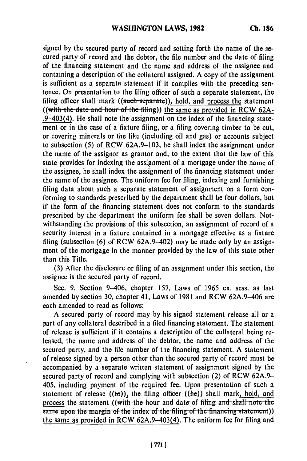signed **by** the secured party of record and setting forth the name of the secured party of record and the debtor, the file number and the date of filing of the financing statement and the name and address of the assignee and containing a description of the collateral assigned. A copy of the assignment is sufficient as a separate statement if it complies with the preceding sentence. On presentation to the filing officer of such a separate statement, the filing officer shall mark  $((such-separate))$ , hold, and process the statement ((with the date and hour of the filing)) the same as provided in RCW  $62A$ -.9-403(4). He shall note the assignment on the index of the financing statement or in the case of a fixture filing, or a filing covering timber to be cut, or covering minerals or the like (including oil and gas) or accounts subject to subsection (5) of RCW 62A.9-103, he shall index the assignment under the name of the assignor as grantor and, to the extent that the law of this state provides for indexing the assignment of a mortgage under the name of the assignee, he shall index the assignment of the financing statement under the name of the assignee. The uniform fee for filing, indexing and furnishing filing data about such a separate statement of assignment on a form conforming to standards prescribed **by** the department shall be four dollars, but if the form of the financing statement does not conform to the standards prescribed **by** the department the uniform fee shall be seven dollars. Notwithstanding the provisions of this subsection, an assignment of record of a security interest in a fixture contained in a mortgage effective as a fixture filing (subsection (6) of RCW 62A.9-402) may be made only **by** an assignment of the mortgage in the manner provided **by** the law of this state other than this Title.

(3) After the disclosure or filing of an assignment under this section, the assignee is the secured party of record.

Sec. **9.** Section 9-406, chapter 157, Laws of 1965 ex. sess. as last amended **by** section **30,** chapter 41, Laws of 1981 and RCW 62A.9-406 are each amended to read as follows:

A secured party of record may **by** his signed statement release all or a part of any collateral described in a filed financing statement. The statement of release is sufficient if it contains a description of the collateral being released, the name and address of the debtor, the name and address of the secured party, and the file number of the financing statement. A statement of release signed **by** a person other than the secured party of record must be accompanied **by** a separate written statement of assignment signed **by** the secured party of record and complying with subsection (2) of RCW 62A.9- 405, including payment of the required fee. Upon presentation of such a statement of release  $((\omega))$ , the filing officer  $((\hbox{he}))$  shall mark, hold, and process the statement ((with the hour and date of filing and shall note the **the same upon the margin of the index of the filing of the financing statement))** the same as provided in RCW 62A.9-403(4). The uniform fee for filing and